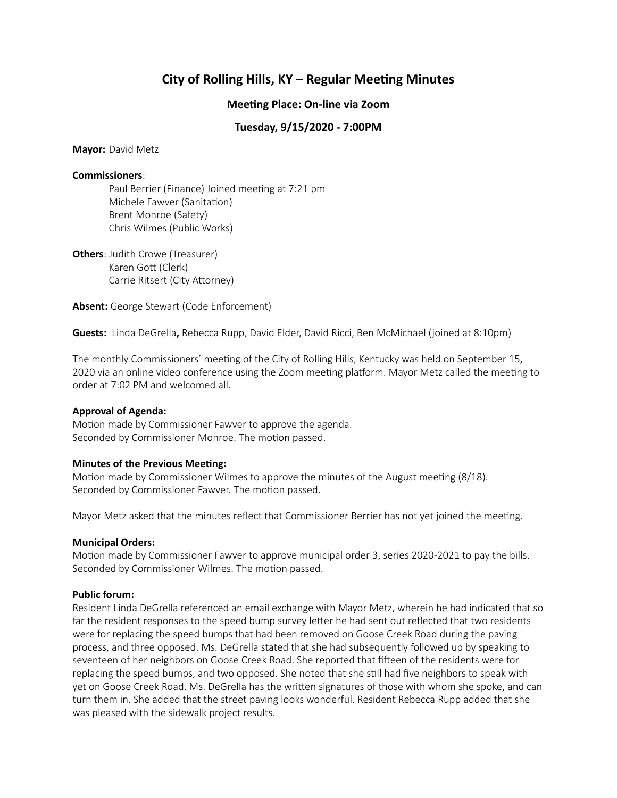# **City of Rolling Hills, KY – Regular Meeting Minutes**

## **Meeting Place: On-line via Zoom**

# **Tuesday, 9/15/2020 - 7:00PM**

**Mayor:** David Metz

#### **Commissioners**:

Paul Berrier (Finance) Joined meeting at 7:21 pm Michele Fawver (Sanitation) Brent Monroe (Safety) Chris Wilmes (Public Works)

**Others**: Judith Crowe (Treasurer) Karen Gott (Clerk) Carrie Ritsert (City Attorney)

**Absent:** George Stewart (Code Enforcement)

**Guests:** Linda DeGrella**,** Rebecca Rupp, David Elder, David Ricci, Ben McMichael (joined at 8:10pm)

The monthly Commissioners' meeting of the City of Rolling Hills, Kentucky was held on September 15, 2020 via an online video conference using the Zoom meeting platform. Mayor Metz called the meeting to order at 7:02 PM and welcomed all.

## **Approval of Agenda:**

Motion made by Commissioner Fawver to approve the agenda. Seconded by Commissioner Monroe. The motion passed.

## **Minutes of the Previous Meeting:**

Motion made by Commissioner Wilmes to approve the minutes of the August meeting (8/18). Seconded by Commissioner Fawver. The motion passed.

Mayor Metz asked that the minutes reflect that Commissioner Berrier has not yet joined the meeting.

## **Municipal Orders:**

Motion made by Commissioner Fawver to approve municipal order 3, series 2020-2021 to pay the bills. Seconded by Commissioner Wilmes. The motion passed.

## **Public forum:**

Resident Linda DeGrella referenced an email exchange with Mayor Metz, wherein he had indicated that so far the resident responses to the speed bump survey letter he had sent out reflected that two residents were for replacing the speed bumps that had been removed on Goose Creek Road during the paving process, and three opposed. Ms. DeGrella stated that she had subsequently followed up by speaking to seventeen of her neighbors on Goose Creek Road. She reported that fifteen of the residents were for replacing the speed bumps, and two opposed. She noted that she still had five neighbors to speak with yet on Goose Creek Road. Ms. DeGrella has the written signatures of those with whom she spoke, and can turn them in. She added that the street paving looks wonderful. Resident Rebecca Rupp added that she was pleased with the sidewalk project results.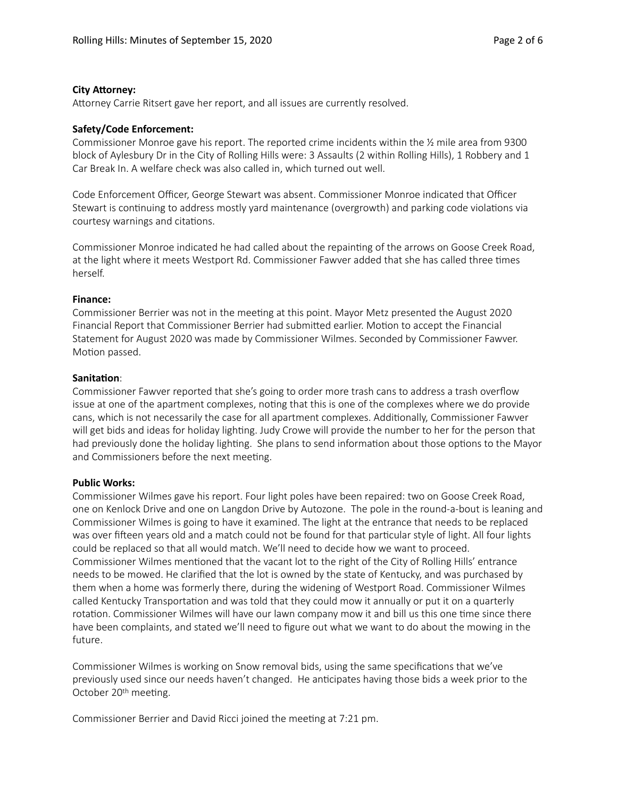#### **City Attorney:**

Attorney Carrie Ritsert gave her report, and all issues are currently resolved.

#### **Safety/Code Enforcement:**

Commissioner Monroe gave his report. The reported crime incidents within the ½ mile area from 9300 block of Aylesbury Dr in the City of Rolling Hills were: 3 Assaults (2 within Rolling Hills), 1 Robbery and 1 Car Break In. A welfare check was also called in, which turned out well.

Code Enforcement Officer, George Stewart was absent. Commissioner Monroe indicated that Officer Stewart is continuing to address mostly yard maintenance (overgrowth) and parking code violations via courtesy warnings and citations.

Commissioner Monroe indicated he had called about the repainting of the arrows on Goose Creek Road, at the light where it meets Westport Rd. Commissioner Fawver added that she has called three times herself.

#### **Finance:**

Commissioner Berrier was not in the meeting at this point. Mayor Metz presented the August 2020 Financial Report that Commissioner Berrier had submitted earlier. Motion to accept the Financial Statement for August 2020 was made by Commissioner Wilmes. Seconded by Commissioner Fawver. Motion passed.

#### **Sanitation:**

Commissioner Fawver reported that she's going to order more trash cans to address a trash overflow issue at one of the apartment complexes, noting that this is one of the complexes where we do provide cans, which is not necessarily the case for all apartment complexes. Additionally, Commissioner Fawver will get bids and ideas for holiday lighting. Judy Crowe will provide the number to her for the person that had previously done the holiday lighting. She plans to send information about those options to the Mayor and Commissioners before the next meeting.

## **Public Works:**

Commissioner Wilmes gave his report. Four light poles have been repaired: two on Goose Creek Road, one on Kenlock Drive and one on Langdon Drive by Autozone. The pole in the round-a-bout is leaning and Commissioner Wilmes is going to have it examined. The light at the entrance that needs to be replaced was over fifteen years old and a match could not be found for that particular style of light. All four lights could be replaced so that all would match. We'll need to decide how we want to proceed. Commissioner Wilmes mentioned that the vacant lot to the right of the City of Rolling Hills' entrance needs to be mowed. He clarified that the lot is owned by the state of Kentucky, and was purchased by them when a home was formerly there, during the widening of Westport Road. Commissioner Wilmes called Kentucky Transportation and was told that they could mow it annually or put it on a quarterly rotation. Commissioner Wilmes will have our lawn company mow it and bill us this one time since there have been complaints, and stated we'll need to figure out what we want to do about the mowing in the future.

Commissioner Wilmes is working on Snow removal bids, using the same specifications that we've previously used since our needs haven't changed. He anticipates having those bids a week prior to the October 20<sup>th</sup> meeting.

Commissioner Berrier and David Ricci joined the meeting at 7:21 pm.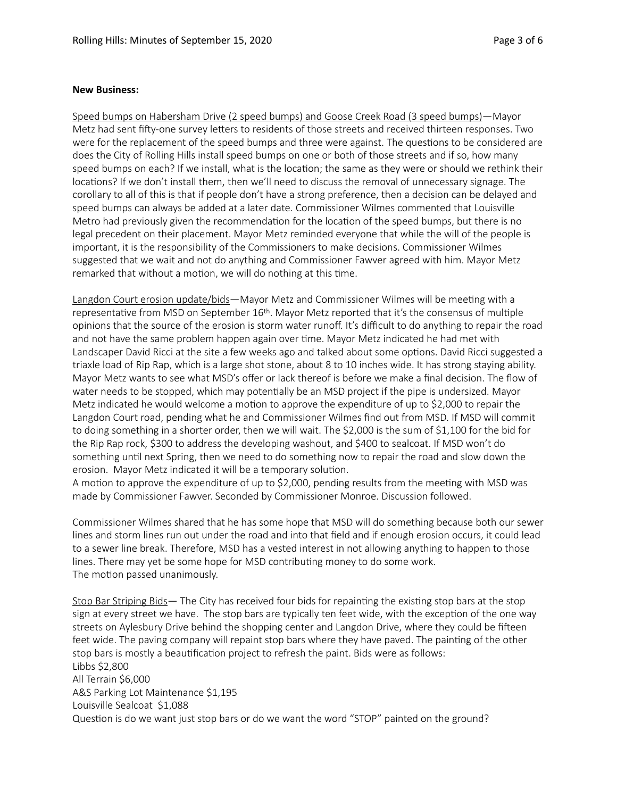#### **New Business:**

Speed bumps on Habersham Drive (2 speed bumps) and Goose Creek Road (3 speed bumps)—Mayor Metz had sent fifty-one survey letters to residents of those streets and received thirteen responses. Two were for the replacement of the speed bumps and three were against. The questions to be considered are does the City of Rolling Hills install speed bumps on one or both of those streets and if so, how many speed bumps on each? If we install, what is the location; the same as they were or should we rethink their locations? If we don't install them, then we'll need to discuss the removal of unnecessary signage. The corollary to all of this is that if people don't have a strong preference, then a decision can be delayed and speed bumps can always be added at a later date. Commissioner Wilmes commented that Louisville Metro had previously given the recommendation for the location of the speed bumps, but there is no legal precedent on their placement. Mayor Metz reminded everyone that while the will of the people is important, it is the responsibility of the Commissioners to make decisions. Commissioner Wilmes suggested that we wait and not do anything and Commissioner Fawver agreed with him. Mayor Metz remarked that without a motion, we will do nothing at this time.

Langdon Court erosion update/bids—Mayor Metz and Commissioner Wilmes will be meeting with a representative from MSD on September 16th. Mayor Metz reported that it's the consensus of multiple opinions that the source of the erosion is storm water runoff. It's difficult to do anything to repair the road and not have the same problem happen again over time. Mayor Metz indicated he had met with Landscaper David Ricci at the site a few weeks ago and talked about some options. David Ricci suggested a triaxle load of Rip Rap, which is a large shot stone, about 8 to 10 inches wide. It has strong staying ability. Mayor Metz wants to see what MSD's offer or lack thereof is before we make a final decision. The flow of water needs to be stopped, which may potentially be an MSD project if the pipe is undersized. Mayor Metz indicated he would welcome a motion to approve the expenditure of up to \$2,000 to repair the Langdon Court road, pending what he and Commissioner Wilmes find out from MSD. If MSD will commit to doing something in a shorter order, then we will wait. The \$2,000 is the sum of \$1,100 for the bid for the Rip Rap rock, \$300 to address the developing washout, and \$400 to sealcoat. If MSD won't do something until next Spring, then we need to do something now to repair the road and slow down the erosion. Mayor Metz indicated it will be a temporary solution.

A motion to approve the expenditure of up to \$2,000, pending results from the meeting with MSD was made by Commissioner Fawver. Seconded by Commissioner Monroe. Discussion followed.

Commissioner Wilmes shared that he has some hope that MSD will do something because both our sewer lines and storm lines run out under the road and into that field and if enough erosion occurs, it could lead to a sewer line break. Therefore, MSD has a vested interest in not allowing anything to happen to those lines. There may yet be some hope for MSD contributing money to do some work. The motion passed unanimously.

Stop Bar Striping Bids— The City has received four bids for repainting the existing stop bars at the stop sign at every street we have. The stop bars are typically ten feet wide, with the exception of the one way streets on Aylesbury Drive behind the shopping center and Langdon Drive, where they could be fifteen feet wide. The paving company will repaint stop bars where they have paved. The painting of the other stop bars is mostly a beautification project to refresh the paint. Bids were as follows: Libbs \$2,800 All Terrain \$6,000 A&S Parking Lot Maintenance \$1,195 Louisville Sealcoat \$1,088 Question is do we want just stop bars or do we want the word "STOP" painted on the ground?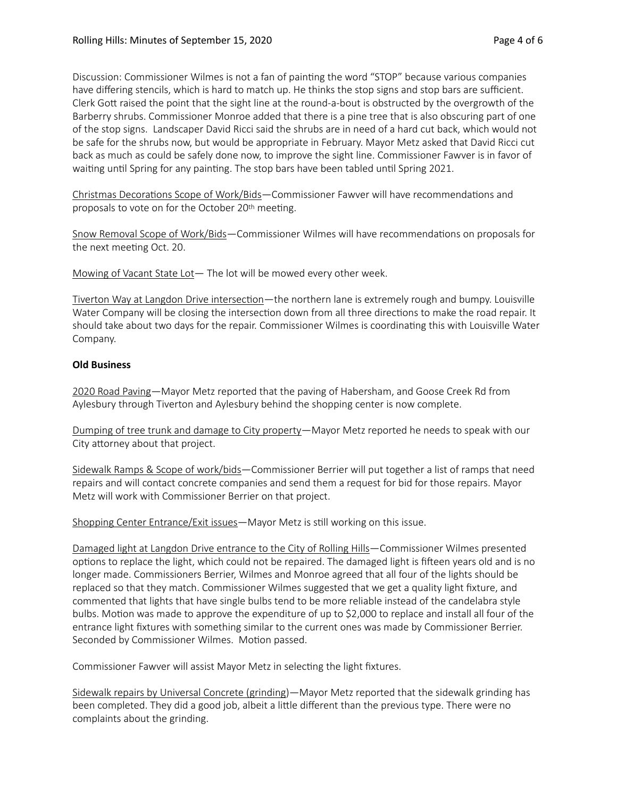Discussion: Commissioner Wilmes is not a fan of painting the word "STOP" because various companies have differing stencils, which is hard to match up. He thinks the stop signs and stop bars are sufficient. Clerk Gott raised the point that the sight line at the round-a-bout is obstructed by the overgrowth of the Barberry shrubs. Commissioner Monroe added that there is a pine tree that is also obscuring part of one of the stop signs. Landscaper David Ricci said the shrubs are in need of a hard cut back, which would not be safe for the shrubs now, but would be appropriate in February. Mayor Metz asked that David Ricci cut back as much as could be safely done now, to improve the sight line. Commissioner Fawver is in favor of waiting until Spring for any painting. The stop bars have been tabled until Spring 2021.

Christmas Decorations Scope of Work/Bids—Commissioner Fawver will have recommendations and proposals to vote on for the October 20<sup>th</sup> meeting.

Snow Removal Scope of Work/Bids—Commissioner Wilmes will have recommendations on proposals for the next meeting Oct. 20.

Mowing of Vacant State Lot— The lot will be mowed every other week.

Tiverton Way at Langdon Drive intersection—the northern lane is extremely rough and bumpy. Louisville Water Company will be closing the intersection down from all three directions to make the road repair. It should take about two days for the repair. Commissioner Wilmes is coordinating this with Louisville Water Company.

## **Old Business**

2020 Road Paving—Mayor Metz reported that the paving of Habersham, and Goose Creek Rd from Aylesbury through Tiverton and Aylesbury behind the shopping center is now complete.

Dumping of tree trunk and damage to City property—Mayor Metz reported he needs to speak with our City attorney about that project.

Sidewalk Ramps & Scope of work/bids—Commissioner Berrier will put together a list of ramps that need repairs and will contact concrete companies and send them a request for bid for those repairs. Mayor Metz will work with Commissioner Berrier on that project.

Shopping Center Entrance/Exit issues-Mayor Metz is still working on this issue.

Damaged light at Langdon Drive entrance to the City of Rolling Hills—Commissioner Wilmes presented options to replace the light, which could not be repaired. The damaged light is fifteen years old and is no longer made. Commissioners Berrier, Wilmes and Monroe agreed that all four of the lights should be replaced so that they match. Commissioner Wilmes suggested that we get a quality light fixture, and commented that lights that have single bulbs tend to be more reliable instead of the candelabra style bulbs. Motion was made to approve the expenditure of up to \$2,000 to replace and install all four of the entrance light fixtures with something similar to the current ones was made by Commissioner Berrier. Seconded by Commissioner Wilmes. Motion passed.

Commissioner Fawver will assist Mayor Metz in selecting the light fixtures.

Sidewalk repairs by Universal Concrete (grinding)—Mayor Metz reported that the sidewalk grinding has been completed. They did a good job, albeit a little different than the previous type. There were no complaints about the grinding.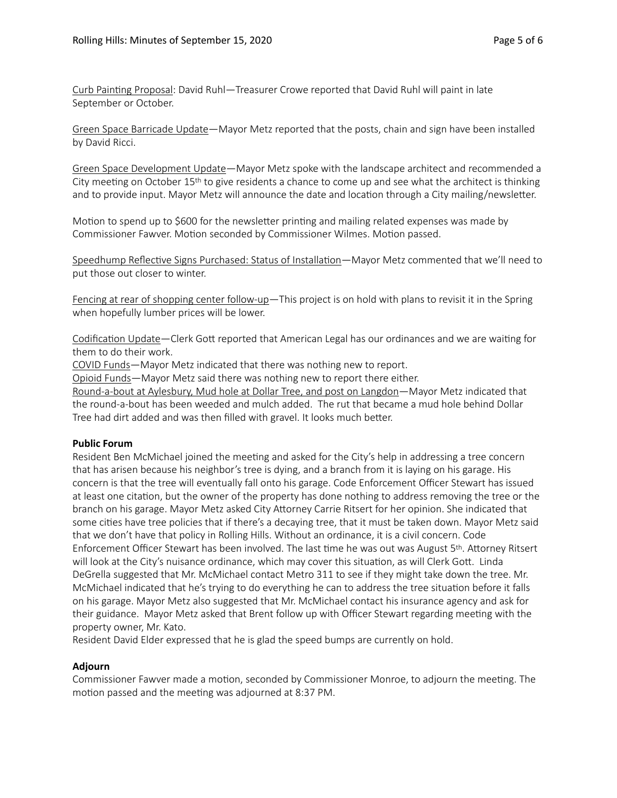Curb Painting Proposal: David Ruhl—Treasurer Crowe reported that David Ruhl will paint in late September or October.

Green Space Barricade Update—Mayor Metz reported that the posts, chain and sign have been installed by David Ricci.

Green Space Development Update—Mayor Metz spoke with the landscape architect and recommended a City meeting on October  $15<sup>th</sup>$  to give residents a chance to come up and see what the architect is thinking and to provide input. Mayor Metz will announce the date and location through a City mailing/newsletter.

Motion to spend up to \$600 for the newsletter printing and mailing related expenses was made by Commissioner Fawver. Motion seconded by Commissioner Wilmes. Motion passed.

Speedhump Reflective Signs Purchased: Status of Installation—Mayor Metz commented that we'll need to put those out closer to winter.

Fencing at rear of shopping center follow-up—This project is on hold with plans to revisit it in the Spring when hopefully lumber prices will be lower.

Codification Update—Clerk Gott reported that American Legal has our ordinances and we are waiting for them to do their work.

COVID Funds—Mayor Metz indicated that there was nothing new to report.

Opioid Funds—Mayor Metz said there was nothing new to report there either.

Round-a-bout at Aylesbury, Mud hole at Dollar Tree, and post on Langdon—Mayor Metz indicated that the round-a-bout has been weeded and mulch added. The rut that became a mud hole behind Dollar Tree had dirt added and was then filled with gravel. It looks much better.

#### **Public Forum**

Resident Ben McMichael joined the meeting and asked for the City's help in addressing a tree concern that has arisen because his neighbor's tree is dying, and a branch from it is laying on his garage. His concern is that the tree will eventually fall onto his garage. Code Enforcement Officer Stewart has issued at least one citation, but the owner of the property has done nothing to address removing the tree or the branch on his garage. Mayor Metz asked City Attorney Carrie Ritsert for her opinion. She indicated that some cities have tree policies that if there's a decaying tree, that it must be taken down. Mayor Metz said that we don't have that policy in Rolling Hills. Without an ordinance, it is a civil concern. Code Enforcement Officer Stewart has been involved. The last time he was out was August 5th. Attorney Ritsert will look at the City's nuisance ordinance, which may cover this situation, as will Clerk Gott. Linda DeGrella suggested that Mr. McMichael contact Metro 311 to see if they might take down the tree. Mr. McMichael indicated that he's trying to do everything he can to address the tree situation before it falls on his garage. Mayor Metz also suggested that Mr. McMichael contact his insurance agency and ask for their guidance. Mayor Metz asked that Brent follow up with Officer Stewart regarding meeting with the property owner, Mr. Kato.

Resident David Elder expressed that he is glad the speed bumps are currently on hold.

## **Adjourn**

Commissioner Fawver made a motion, seconded by Commissioner Monroe, to adjourn the meeting. The motion passed and the meeting was adjourned at 8:37 PM.